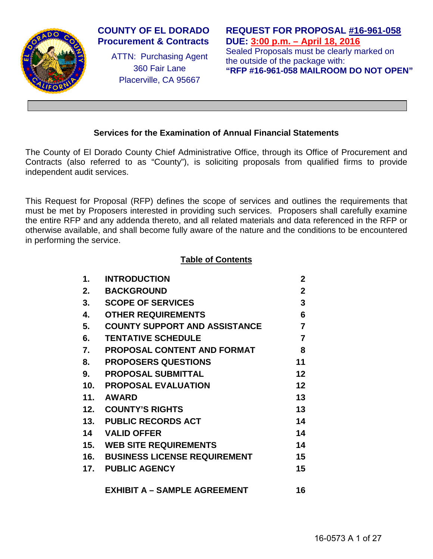

# **COUNTY OF EL DORADO Procurement & Contracts**

ATTN: Purchasing Agent 360 Fair Lane Placerville, CA 95667

**REQUEST FOR PROPOSAL #16-961-058 DUE: 3:00 p.m. – April 18, 2016** Sealed Proposals must be clearly marked on the outside of the package with:

**"RFP #16-961-058 MAILROOM DO NOT OPEN"**

# **Services for the Examination of Annual Financial Statements**

The County of El Dorado County Chief Administrative Office, through its Office of Procurement and Contracts (also referred to as "County"), is soliciting proposals from qualified firms to provide independent audit services.

This Request for Proposal (RFP) defines the scope of services and outlines the requirements that must be met by Proposers interested in providing such services. Proposers shall carefully examine the entire RFP and any addenda thereto, and all related materials and data referenced in the RFP or otherwise available, and shall become fully aware of the nature and the conditions to be encountered in performing the service.

# **Table of Contents**

| $\mathbf 1$ | <b>INTRODUCTION</b>                     | $\mathbf 2$    |
|-------------|-----------------------------------------|----------------|
| 2.          | <b>BACKGROUND</b>                       | $\mathbf 2$    |
| 3.          | <b>SCOPE OF SERVICES</b>                | 3              |
| 4.          | <b>OTHER REQUIREMENTS</b>               | 6              |
| 5.          | <b>COUNTY SUPPORT AND ASSISTANCE</b>    | $\overline{7}$ |
| 6.          | <b>TENTATIVE SCHEDULE</b>               | $\overline{7}$ |
| 7.          | <b>PROPOSAL CONTENT AND FORMAT</b>      | 8              |
| 8.          | <b>PROPOSERS QUESTIONS</b>              | 11             |
| 9.          | <b>PROPOSAL SUBMITTAL</b>               | 12             |
| 10.         | <b>PROPOSAL EVALUATION</b>              | 12             |
| 11.         | <b>AWARD</b>                            | 13             |
| 12.         | <b>COUNTY'S RIGHTS</b>                  | 13             |
| 13.         | <b>PUBLIC RECORDS ACT</b>               | 14             |
| 14          | <b>VALID OFFER</b>                      | 14             |
|             | <b>15. WEB SITE REQUIREMENTS</b>        | 14             |
|             | <b>16. BUSINESS LICENSE REQUIREMENT</b> | 15             |
|             | 17. PUBLIC AGENCY                       | 15             |
|             | <b>EXHIBIT A - SAMPLE AGREEMENT</b>     | 16             |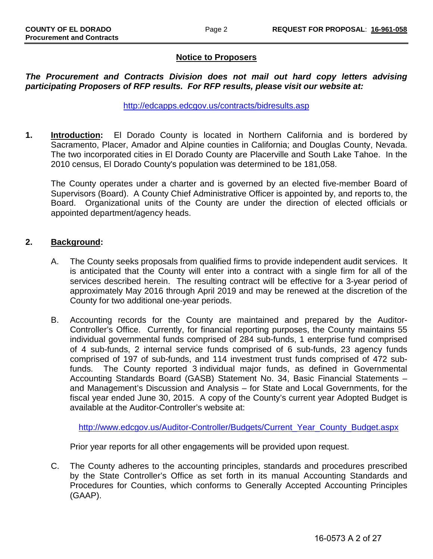# **Notice to Proposers**

### *The Procurement and Contracts Division does not mail out hard copy letters advising participating Proposers of RFP results. For RFP results, please visit our website at:*

<http://edcapps.edcgov.us/contracts/bidresults.asp>

**1. Introduction:** El Dorado County is located in Northern California and is bordered by Sacramento, Placer, Amador and Alpine counties in California; and Douglas County, Nevada. The two incorporated cities in El Dorado County are Placerville and South Lake Tahoe. In the 2010 census, El Dorado County's population was determined to be 181,058.

The County operates under a charter and is governed by an elected five-member Board of Supervisors (Board). A County Chief Administrative Officer is appointed by, and reports to, the Board. Organizational units of the County are under the direction of elected officials or appointed department/agency heads.

### **2. Background:**

- A. The County seeks proposals from qualified firms to provide independent audit services. It is anticipated that the County will enter into a contract with a single firm for all of the services described herein. The resulting contract will be effective for a 3-year period of approximately May 2016 through April 2019 and may be renewed at the discretion of the County for two additional one-year periods.
- B. Accounting records for the County are maintained and prepared by the Auditor-Controller's Office. Currently, for financial reporting purposes, the County maintains 55 individual governmental funds comprised of 284 sub-funds, 1 enterprise fund comprised of 4 sub-funds, 2 internal service funds comprised of 6 sub-funds, 23 agency funds comprised of 197 of sub-funds, and 114 investment trust funds comprised of 472 subfunds. The County reported 3 individual major funds, as defined in Governmental Accounting Standards Board (GASB) Statement No. 34, Basic Financial Statements – and Management's Discussion and Analysis – for State and Local Governments, for the fiscal year ended June 30, 2015. A copy of the County's current year Adopted Budget is available at the Auditor-Controller's website at:

[http://www.edcgov.us/Auditor-Controller/Budgets/Current\\_Year\\_County\\_Budget.aspx](http://www.edcgov.us/Auditor-Controller/Budgets/Current_Year_County_Budget.aspx)

Prior year reports for all other engagements will be provided upon request.

C. The County adheres to the accounting principles, standards and procedures prescribed by the State Controller's Office as set forth in its manual Accounting Standards and Procedures for Counties, which conforms to Generally Accepted Accounting Principles (GAAP).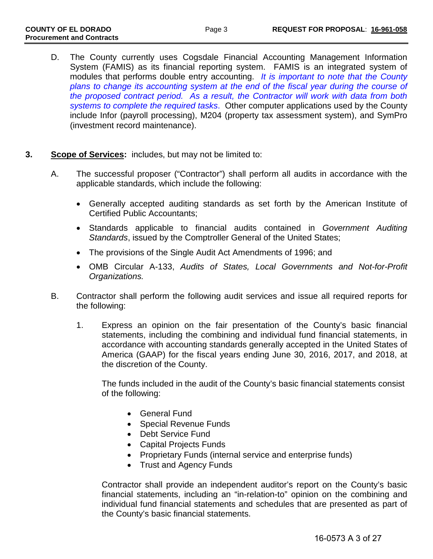- D. The County currently uses Cogsdale Financial Accounting Management Information System (FAMIS) as its financial reporting system. FAMIS is an integrated system of modules that performs double entry accounting. *It is important to note that the County plans to change its accounting system at the end of the fiscal year during the course of the proposed contract period. As a result, the Contractor will work with data from both systems to complete the required tasks*. Other computer applications used by the County include Infor (payroll processing), M204 (property tax assessment system), and SymPro (investment record maintenance).
- **3. Scope of Services:** includes, but may not be limited to:
	- A. The successful proposer ("Contractor") shall perform all audits in accordance with the applicable standards, which include the following:
		- Generally accepted auditing standards as set forth by the American Institute of Certified Public Accountants;
		- Standards applicable to financial audits contained in *Government Auditing Standards*, issued by the Comptroller General of the United States;
		- The provisions of the Single Audit Act Amendments of 1996; and
		- OMB Circular A-133, *Audits of States, Local Governments and Not-for-Profit Organizations.*
	- B. Contractor shall perform the following audit services and issue all required reports for the following:
		- 1. Express an opinion on the fair presentation of the County's basic financial statements, including the combining and individual fund financial statements, in accordance with accounting standards generally accepted in the United States of America (GAAP) for the fiscal years ending June 30, 2016, 2017, and 2018, at the discretion of the County.

The funds included in the audit of the County's basic financial statements consist of the following:

- General Fund
- Special Revenue Funds
- Debt Service Fund
- Capital Projects Funds
- Proprietary Funds (internal service and enterprise funds)
- Trust and Agency Funds

Contractor shall provide an independent auditor's report on the County's basic financial statements, including an "in-relation-to" opinion on the combining and individual fund financial statements and schedules that are presented as part of the County's basic financial statements.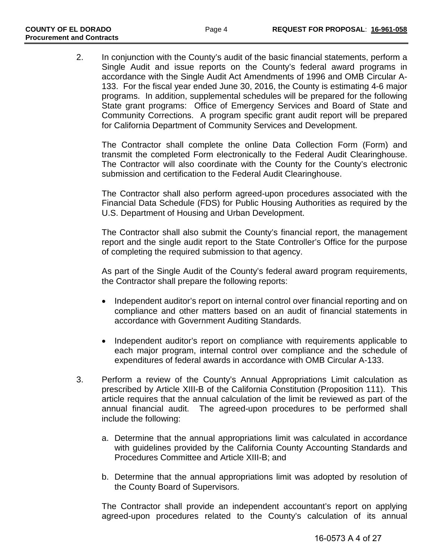2. In conjunction with the County's audit of the basic financial statements, perform a Single Audit and issue reports on the County's federal award programs in accordance with the Single Audit Act Amendments of 1996 and OMB Circular A-133. For the fiscal year ended June 30, 2016, the County is estimating 4-6 major programs. In addition, supplemental schedules will be prepared for the following State grant programs: Office of Emergency Services and Board of State and Community Corrections. A program specific grant audit report will be prepared for California Department of Community Services and Development.

The Contractor shall complete the online Data Collection Form (Form) and transmit the completed Form electronically to the Federal Audit Clearinghouse. The Contractor will also coordinate with the County for the County's electronic submission and certification to the Federal Audit Clearinghouse.

The Contractor shall also perform agreed-upon procedures associated with the Financial Data Schedule (FDS) for Public Housing Authorities as required by the U.S. Department of Housing and Urban Development.

The Contractor shall also submit the County's financial report, the management report and the single audit report to the State Controller's Office for the purpose of completing the required submission to that agency.

As part of the Single Audit of the County's federal award program requirements, the Contractor shall prepare the following reports:

- Independent auditor's report on internal control over financial reporting and on compliance and other matters based on an audit of financial statements in accordance with Government Auditing Standards.
- Independent auditor's report on compliance with requirements applicable to each major program, internal control over compliance and the schedule of expenditures of federal awards in accordance with OMB Circular A-133.
- 3. Perform a review of the County's Annual Appropriations Limit calculation as prescribed by Article XIII-B of the California Constitution (Proposition 111). This article requires that the annual calculation of the limit be reviewed as part of the annual financial audit. The agreed-upon procedures to be performed shall include the following:
	- a. Determine that the annual appropriations limit was calculated in accordance with guidelines provided by the California County Accounting Standards and Procedures Committee and Article XIII-B; and
	- b. Determine that the annual appropriations limit was adopted by resolution of the County Board of Supervisors.

The Contractor shall provide an independent accountant's report on applying agreed-upon procedures related to the County's calculation of its annual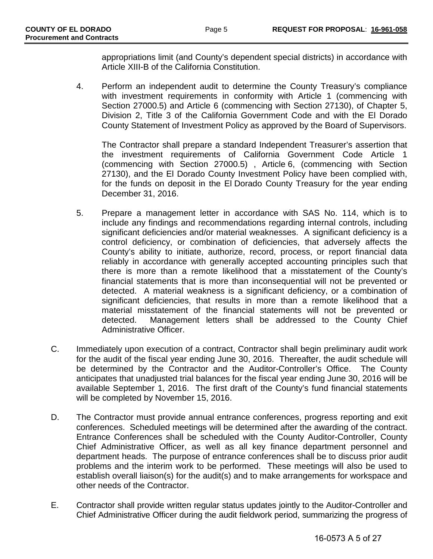appropriations limit (and County's dependent special districts) in accordance with Article XIII-B of the California Constitution.

4. Perform an independent audit to determine the County Treasury's compliance with investment requirements in conformity with Article 1 (commencing with Section 27000.5) and Article 6 (commencing with Section 27130), of Chapter 5, Division 2, Title 3 of the California Government Code and with the El Dorado County Statement of Investment Policy as approved by the Board of Supervisors.

The Contractor shall prepare a standard Independent Treasurer's assertion that the investment requirements of California Government Code Article 1 (commencing with Section 27000.5) , Article 6, (commencing with Section 27130), and the El Dorado County Investment Policy have been complied with, for the funds on deposit in the El Dorado County Treasury for the year ending December 31, 2016.

- 5. Prepare a management letter in accordance with SAS No. 114, which is to include any findings and recommendations regarding internal controls, including significant deficiencies and/or material weaknesses. A significant deficiency is a control deficiency, or combination of deficiencies, that adversely affects the County's ability to initiate, authorize, record, process, or report financial data reliably in accordance with generally accepted accounting principles such that there is more than a remote likelihood that a misstatement of the County's financial statements that is more than inconsequential will not be prevented or detected. A material weakness is a significant deficiency, or a combination of significant deficiencies, that results in more than a remote likelihood that a material misstatement of the financial statements will not be prevented or detected. Management letters shall be addressed to the County Chief Administrative Officer.
- C. Immediately upon execution of a contract, Contractor shall begin preliminary audit work for the audit of the fiscal year ending June 30, 2016. Thereafter, the audit schedule will be determined by the Contractor and the Auditor-Controller's Office. The County anticipates that unadjusted trial balances for the fiscal year ending June 30, 2016 will be available September 1, 2016. The first draft of the County's fund financial statements will be completed by November 15, 2016.
- D. The Contractor must provide annual entrance conferences, progress reporting and exit conferences. Scheduled meetings will be determined after the awarding of the contract. Entrance Conferences shall be scheduled with the County Auditor-Controller, County Chief Administrative Officer, as well as all key finance department personnel and department heads. The purpose of entrance conferences shall be to discuss prior audit problems and the interim work to be performed. These meetings will also be used to establish overall liaison(s) for the audit(s) and to make arrangements for workspace and other needs of the Contractor.
- E. Contractor shall provide written regular status updates jointly to the Auditor-Controller and Chief Administrative Officer during the audit fieldwork period, summarizing the progress of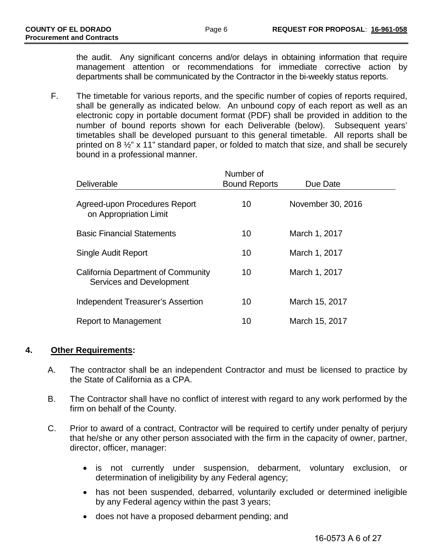the audit. Any significant concerns and/or delays in obtaining information that require management attention or recommendations for immediate corrective action by departments shall be communicated by the Contractor in the bi-weekly status reports.

F. The timetable for various reports, and the specific number of copies of reports required, shall be generally as indicated below. An unbound copy of each report as well as an electronic copy in portable document format (PDF) shall be provided in addition to the number of bound reports shown for each Deliverable (below). Subsequent years' timetables shall be developed pursuant to this general timetable. All reports shall be printed on 8 ½" x 11" standard paper, or folded to match that size, and shall be securely bound in a professional manner.

| Number of<br><b>Bound Reports</b> | Due Date          |
|-----------------------------------|-------------------|
| 10                                | November 30, 2016 |
| 10                                | March 1, 2017     |
| 10                                | March 1, 2017     |
| 10                                | March 1, 2017     |
| 10                                | March 15, 2017    |
| 10                                | March 15, 2017    |
|                                   |                   |

# **4. Other Requirements:**

- A. The contractor shall be an independent Contractor and must be licensed to practice by the State of California as a CPA.
- B. The Contractor shall have no conflict of interest with regard to any work performed by the firm on behalf of the County.
- C. Prior to award of a contract, Contractor will be required to certify under penalty of perjury that he/she or any other person associated with the firm in the capacity of owner, partner, director, officer, manager:
	- is not currently under suspension, debarment, voluntary exclusion, or determination of ineligibility by any Federal agency;
	- has not been suspended, debarred, voluntarily excluded or determined ineligible by any Federal agency within the past 3 years;
	- does not have a proposed debarment pending; and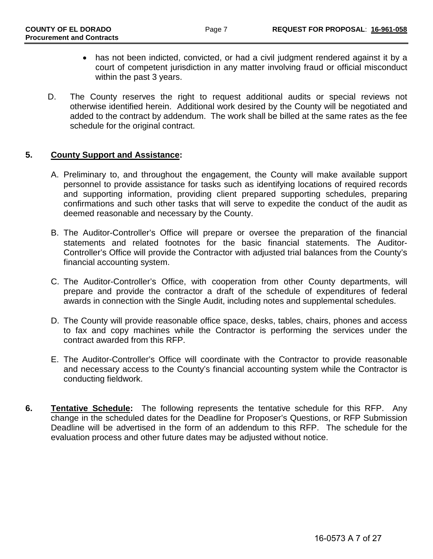- has not been indicted, convicted, or had a civil judgment rendered against it by a court of competent jurisdiction in any matter involving fraud or official misconduct within the past 3 years.
- D. The County reserves the right to request additional audits or special reviews not otherwise identified herein. Additional work desired by the County will be negotiated and added to the contract by addendum. The work shall be billed at the same rates as the fee schedule for the original contract.

### **5. County Support and Assistance:**

- A. Preliminary to, and throughout the engagement, the County will make available support personnel to provide assistance for tasks such as identifying locations of required records and supporting information, providing client prepared supporting schedules, preparing confirmations and such other tasks that will serve to expedite the conduct of the audit as deemed reasonable and necessary by the County.
- B. The Auditor-Controller's Office will prepare or oversee the preparation of the financial statements and related footnotes for the basic financial statements. The Auditor-Controller's Office will provide the Contractor with adjusted trial balances from the County's financial accounting system.
- C. The Auditor-Controller's Office, with cooperation from other County departments, will prepare and provide the contractor a draft of the schedule of expenditures of federal awards in connection with the Single Audit, including notes and supplemental schedules.
- D. The County will provide reasonable office space, desks, tables, chairs, phones and access to fax and copy machines while the Contractor is performing the services under the contract awarded from this RFP.
- E. The Auditor-Controller's Office will coordinate with the Contractor to provide reasonable and necessary access to the County's financial accounting system while the Contractor is conducting fieldwork.
- **6. Tentative Schedule:** The following represents the tentative schedule for this RFP. Any change in the scheduled dates for the Deadline for Proposer's Questions, or RFP Submission Deadline will be advertised in the form of an addendum to this RFP. The schedule for the evaluation process and other future dates may be adjusted without notice.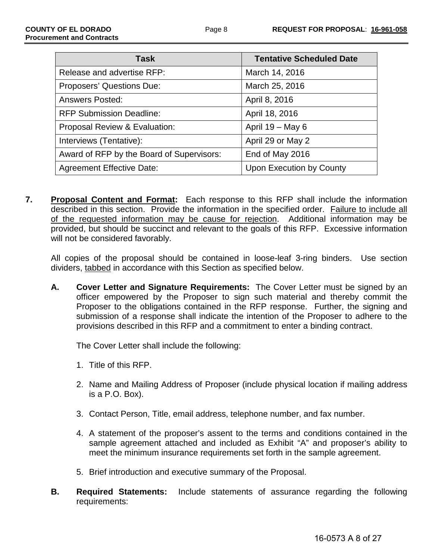| <b>Task</b>                               | <b>Tentative Scheduled Date</b> |
|-------------------------------------------|---------------------------------|
| Release and advertise RFP:                | March 14, 2016                  |
| Proposers' Questions Due:                 | March 25, 2016                  |
| <b>Answers Posted:</b>                    | April 8, 2016                   |
| <b>RFP Submission Deadline:</b>           | April 18, 2016                  |
| Proposal Review & Evaluation:             | April $19 - May 6$              |
| Interviews (Tentative):                   | April 29 or May 2               |
| Award of RFP by the Board of Supervisors: | End of May 2016                 |
| <b>Agreement Effective Date:</b>          | Upon Execution by County        |

**7. Proposal Content and Format:** Each response to this RFP shall include the information described in this section. Provide the information in the specified order. Failure to include all of the requested information may be cause for rejection. Additional information may be provided, but should be succinct and relevant to the goals of this RFP. Excessive information will not be considered favorably.

All copies of the proposal should be contained in loose-leaf 3-ring binders. Use section dividers, tabbed in accordance with this Section as specified below.

**A. Cover Letter and Signature Requirements:** The Cover Letter must be signed by an officer empowered by the Proposer to sign such material and thereby commit the Proposer to the obligations contained in the RFP response. Further, the signing and submission of a response shall indicate the intention of the Proposer to adhere to the provisions described in this RFP and a commitment to enter a binding contract.

The Cover Letter shall include the following:

- 1. Title of this RFP.
- 2. Name and Mailing Address of Proposer (include physical location if mailing address is a P.O. Box).
- 3. Contact Person, Title, email address, telephone number, and fax number.
- 4. A statement of the proposer's assent to the terms and conditions contained in the sample agreement attached and included as Exhibit "A" and proposer's ability to meet the minimum insurance requirements set forth in the sample agreement.
- 5. Brief introduction and executive summary of the Proposal.
- **B. Required Statements:** Include statements of assurance regarding the following requirements: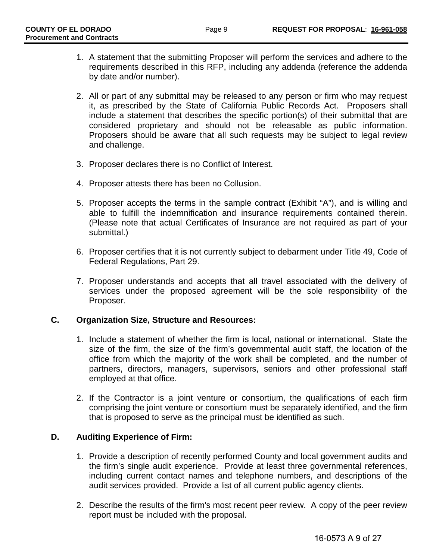- 1. A statement that the submitting Proposer will perform the services and adhere to the requirements described in this RFP, including any addenda (reference the addenda by date and/or number).
- 2. All or part of any submittal may be released to any person or firm who may request it, as prescribed by the State of California Public Records Act. Proposers shall include a statement that describes the specific portion(s) of their submittal that are considered proprietary and should not be releasable as public information. Proposers should be aware that all such requests may be subject to legal review and challenge.
- 3. Proposer declares there is no Conflict of Interest.
- 4. Proposer attests there has been no Collusion.
- 5. Proposer accepts the terms in the sample contract (Exhibit "A"), and is willing and able to fulfill the indemnification and insurance requirements contained therein. (Please note that actual Certificates of Insurance are not required as part of your submittal.)
- 6. Proposer certifies that it is not currently subject to debarment under Title 49, Code of Federal Regulations, Part 29.
- 7. Proposer understands and accepts that all travel associated with the delivery of services under the proposed agreement will be the sole responsibility of the Proposer.

### **C. Organization Size, Structure and Resources:**

- 1. Include a statement of whether the firm is local, national or international. State the size of the firm, the size of the firm's governmental audit staff, the location of the office from which the majority of the work shall be completed, and the number of partners, directors, managers, supervisors, seniors and other professional staff employed at that office.
- 2. If the Contractor is a joint venture or consortium, the qualifications of each firm comprising the joint venture or consortium must be separately identified, and the firm that is proposed to serve as the principal must be identified as such.

# **D. Auditing Experience of Firm:**

- 1. Provide a description of recently performed County and local government audits and the firm's single audit experience. Provide at least three governmental references, including current contact names and telephone numbers, and descriptions of the audit services provided. Provide a list of all current public agency clients.
- 2. Describe the results of the firm's most recent peer review. A copy of the peer review report must be included with the proposal.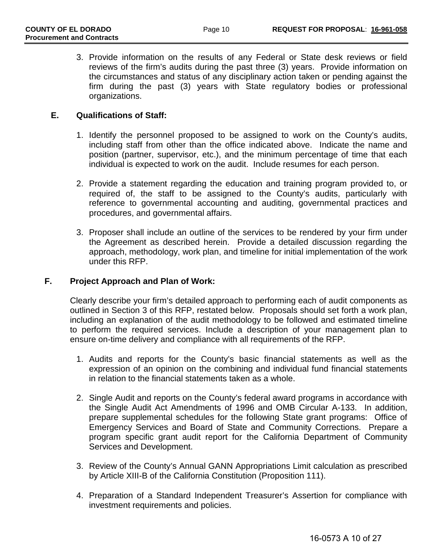3. Provide information on the results of any Federal or State desk reviews or field reviews of the firm's audits during the past three (3) years. Provide information on the circumstances and status of any disciplinary action taken or pending against the firm during the past (3) years with State regulatory bodies or professional organizations.

### **E. Qualifications of Staff:**

- 1. Identify the personnel proposed to be assigned to work on the County's audits, including staff from other than the office indicated above. Indicate the name and position (partner, supervisor, etc.), and the minimum percentage of time that each individual is expected to work on the audit. Include resumes for each person.
- 2. Provide a statement regarding the education and training program provided to, or required of, the staff to be assigned to the County's audits, particularly with reference to governmental accounting and auditing, governmental practices and procedures, and governmental affairs.
- 3. Proposer shall include an outline of the services to be rendered by your firm under the Agreement as described herein. Provide a detailed discussion regarding the approach, methodology, work plan, and timeline for initial implementation of the work under this RFP.

### **F. Project Approach and Plan of Work:**

Clearly describe your firm's detailed approach to performing each of audit components as outlined in Section 3 of this RFP, restated below. Proposals should set forth a work plan, including an explanation of the audit methodology to be followed and estimated timeline to perform the required services. Include a description of your management plan to ensure on-time delivery and compliance with all requirements of the RFP.

- 1. Audits and reports for the County's basic financial statements as well as the expression of an opinion on the combining and individual fund financial statements in relation to the financial statements taken as a whole.
- 2. Single Audit and reports on the County's federal award programs in accordance with the Single Audit Act Amendments of 1996 and OMB Circular A-133. In addition, prepare supplemental schedules for the following State grant programs: Office of Emergency Services and Board of State and Community Corrections. Prepare a program specific grant audit report for the California Department of Community Services and Development.
- 3. Review of the County's Annual GANN Appropriations Limit calculation as prescribed by Article XIII-B of the California Constitution (Proposition 111).
- 4. Preparation of a Standard Independent Treasurer's Assertion for compliance with investment requirements and policies.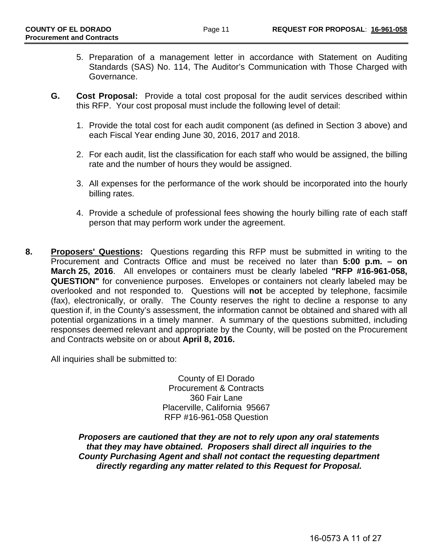- 5. Preparation of a management letter in accordance with Statement on Auditing Standards (SAS) No. 114, The Auditor's Communication with Those Charged with Governance.
- **G. Cost Proposal:** Provide a total cost proposal for the audit services described within this RFP. Your cost proposal must include the following level of detail:
	- 1. Provide the total cost for each audit component (as defined in Section 3 above) and each Fiscal Year ending June 30, 2016, 2017 and 2018.
	- 2. For each audit, list the classification for each staff who would be assigned, the billing rate and the number of hours they would be assigned.
	- 3. All expenses for the performance of the work should be incorporated into the hourly billing rates.
	- 4. Provide a schedule of professional fees showing the hourly billing rate of each staff person that may perform work under the agreement.
- **8. Proposers' Questions:** Questions regarding this RFP must be submitted in writing to the Procurement and Contracts Office and must be received no later than **5:00 p.m. – on March 25, 2016**. All envelopes or containers must be clearly labeled **"RFP #16-961-058, QUESTION"** for convenience purposes. Envelopes or containers not clearly labeled may be overlooked and not responded to. Questions will **not** be accepted by telephone, facsimile (fax), electronically, or orally. The County reserves the right to decline a response to any question if, in the County's assessment, the information cannot be obtained and shared with all potential organizations in a timely manner. A summary of the questions submitted, including responses deemed relevant and appropriate by the County, will be posted on the Procurement and Contracts website on or about **April 8, 2016.**

All inquiries shall be submitted to:

County of El Dorado Procurement & Contracts 360 Fair Lane Placerville, California 95667 RFP #16-961-058 Question

*Proposers are cautioned that they are not to rely upon any oral statements that they may have obtained. Proposers shall direct all inquiries to the County Purchasing Agent and shall not contact the requesting department directly regarding any matter related to this Request for Proposal.*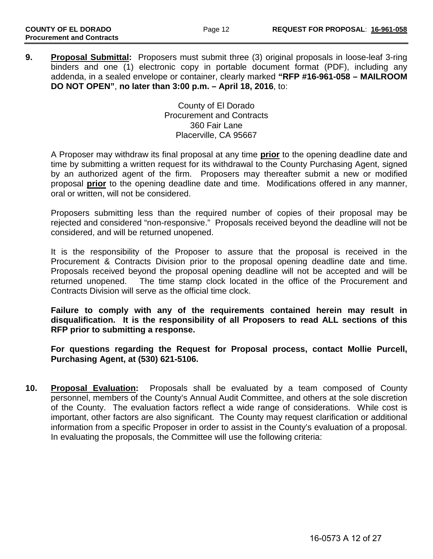**9. Proposal Submittal:** Proposers must submit three (3) original proposals in loose-leaf 3-ring binders and one (1) electronic copy in portable document format (PDF), including any addenda, in a sealed envelope or container, clearly marked **"RFP #16-961-058 – MAILROOM DO NOT OPEN"**, **no later than 3:00 p.m. – April 18, 2016**, to:

> County of El Dorado Procurement and Contracts 360 Fair Lane Placerville, CA 95667

A Proposer may withdraw its final proposal at any time **prior** to the opening deadline date and time by submitting a written request for its withdrawal to the County Purchasing Agent, signed by an authorized agent of the firm. Proposers may thereafter submit a new or modified proposal **prior** to the opening deadline date and time. Modifications offered in any manner, oral or written, will not be considered.

Proposers submitting less than the required number of copies of their proposal may be rejected and considered "non-responsive." Proposals received beyond the deadline will not be considered, and will be returned unopened.

It is the responsibility of the Proposer to assure that the proposal is received in the Procurement & Contracts Division prior to the proposal opening deadline date and time. Proposals received beyond the proposal opening deadline will not be accepted and will be returned unopened. The time stamp clock located in the office of the Procurement and Contracts Division will serve as the official time clock.

**Failure to comply with any of the requirements contained herein may result in disqualification. It is the responsibility of all Proposers to read ALL sections of this RFP prior to submitting a response.**

**For questions regarding the Request for Proposal process, contact Mollie Purcell, Purchasing Agent, at (530) 621-5106.** 

**10. Proposal Evaluation:** Proposals shall be evaluated by a team composed of County personnel, members of the County's Annual Audit Committee, and others at the sole discretion of the County. The evaluation factors reflect a wide range of considerations. While cost is important, other factors are also significant. The County may request clarification or additional information from a specific Proposer in order to assist in the County's evaluation of a proposal. In evaluating the proposals, the Committee will use the following criteria: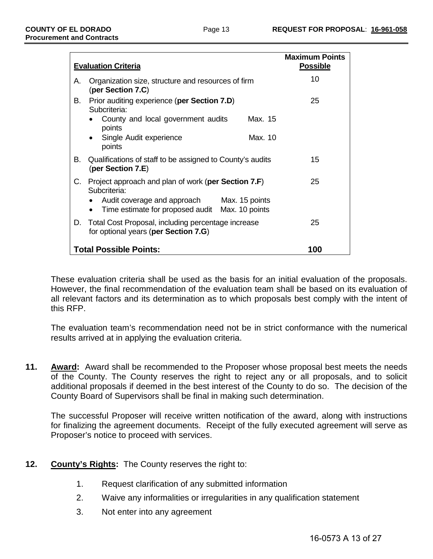|    | <b>Evaluation Criteria</b>                                                                    | <b>Maximum Points</b><br><b>Possible</b> |
|----|-----------------------------------------------------------------------------------------------|------------------------------------------|
| А. | Organization size, structure and resources of firm<br>(per Section 7.C)                       | 10                                       |
| В. | Prior auditing experience (per Section 7.D)<br>Subcriteria:                                   | 25                                       |
|    | County and local government audits<br>Max. 15<br>points                                       |                                          |
|    | Single Audit experience<br>Max. 10<br>points                                                  |                                          |
| В. | Qualifications of staff to be assigned to County's audits<br>(per Section 7.E)                | 15                                       |
| C. | Project approach and plan of work (per Section 7.F)<br>Subcriteria:                           | 25                                       |
|    | Audit coverage and approach Max. 15 points<br>Time estimate for proposed audit Max. 10 points |                                          |
|    | D. Total Cost Proposal, including percentage increase<br>for optional years (per Section 7.G) | 25                                       |
|    | <b>Total Possible Points:</b>                                                                 | 100                                      |

These evaluation criteria shall be used as the basis for an initial evaluation of the proposals. However, the final recommendation of the evaluation team shall be based on its evaluation of all relevant factors and its determination as to which proposals best comply with the intent of this RFP.

The evaluation team's recommendation need not be in strict conformance with the numerical results arrived at in applying the evaluation criteria.

**11. Award:** Award shall be recommended to the Proposer whose proposal best meets the needs of the County. The County reserves the right to reject any or all proposals, and to solicit additional proposals if deemed in the best interest of the County to do so. The decision of the County Board of Supervisors shall be final in making such determination.

The successful Proposer will receive written notification of the award, along with instructions for finalizing the agreement documents. Receipt of the fully executed agreement will serve as Proposer's notice to proceed with services.

- **12. County's Rights:** The County reserves the right to:
	- 1. Request clarification of any submitted information
	- 2. Waive any informalities or irregularities in any qualification statement
	- 3. Not enter into any agreement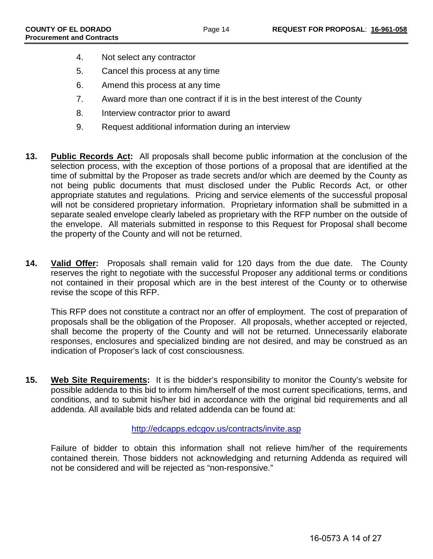- 4. Not select any contractor
- 5. Cancel this process at any time
- 6. Amend this process at any time
- 7. Award more than one contract if it is in the best interest of the County
- 8. Interview contractor prior to award
- 9. Request additional information during an interview
- **13. Public Records Act:** All proposals shall become public information at the conclusion of the selection process, with the exception of those portions of a proposal that are identified at the time of submittal by the Proposer as trade secrets and/or which are deemed by the County as not being public documents that must disclosed under the Public Records Act, or other appropriate statutes and regulations. Pricing and service elements of the successful proposal will not be considered proprietary information. Proprietary information shall be submitted in a separate sealed envelope clearly labeled as proprietary with the RFP number on the outside of the envelope. All materials submitted in response to this Request for Proposal shall become the property of the County and will not be returned.
- **14. Valid Offer:** Proposals shall remain valid for 120 days from the due date. The County reserves the right to negotiate with the successful Proposer any additional terms or conditions not contained in their proposal which are in the best interest of the County or to otherwise revise the scope of this RFP.

This RFP does not constitute a contract nor an offer of employment. The cost of preparation of proposals shall be the obligation of the Proposer. All proposals, whether accepted or rejected, shall become the property of the County and will not be returned. Unnecessarily elaborate responses, enclosures and specialized binding are not desired, and may be construed as an indication of Proposer's lack of cost consciousness.

**15. Web Site Requirements:** It is the bidder's responsibility to monitor the County's website for possible addenda to this bid to inform him/herself of the most current specifications, terms, and conditions, and to submit his/her bid in accordance with the original bid requirements and all addenda. All available bids and related addenda can be found at:

### <http://edcapps.edcgov.us/contracts/invite.asp>

Failure of bidder to obtain this information shall not relieve him/her of the requirements contained therein. Those bidders not acknowledging and returning Addenda as required will not be considered and will be rejected as "non-responsive."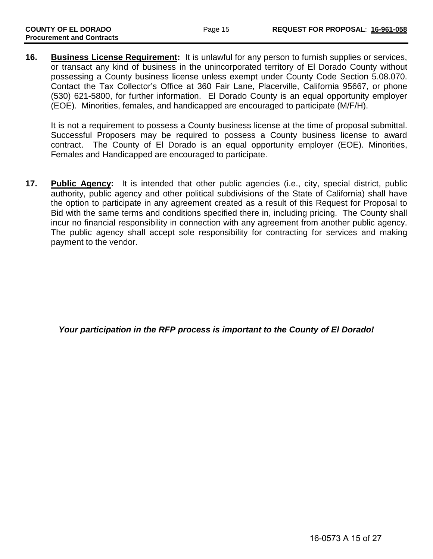**16. Business License Requirement:** It is unlawful for any person to furnish supplies or services, or transact any kind of business in the unincorporated territory of El Dorado County without possessing a County business license unless exempt under County Code Section 5.08.070. Contact the Tax Collector's Office at 360 Fair Lane, Placerville, California 95667, or phone (530) 621-5800, for further information. El Dorado County is an equal opportunity employer (EOE). Minorities, females, and handicapped are encouraged to participate (M/F/H).

It is not a requirement to possess a County business license at the time of proposal submittal. Successful Proposers may be required to possess a County business license to award contract. The County of El Dorado is an equal opportunity employer (EOE). Minorities, Females and Handicapped are encouraged to participate.

**17. Public Agency:** It is intended that other public agencies (i.e., city, special district, public authority, public agency and other political subdivisions of the State of California) shall have the option to participate in any agreement created as a result of this Request for Proposal to Bid with the same terms and conditions specified there in, including pricing. The County shall incur no financial responsibility in connection with any agreement from another public agency. The public agency shall accept sole responsibility for contracting for services and making payment to the vendor.

*Your participation in the RFP process is important to the County of El Dorado!*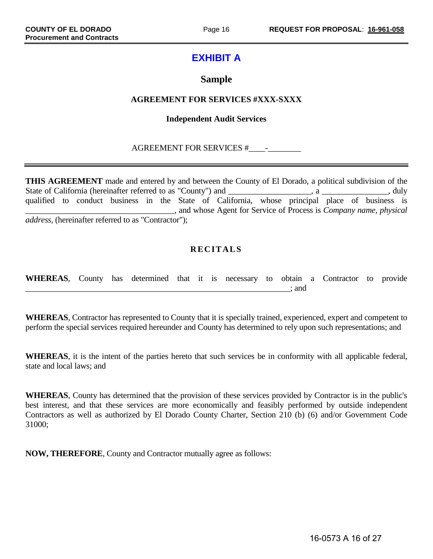# **EXHIBIT A**

# **Sample**

### **AGREEMENT FOR SERVICES #XXX-SXXX**

### **Independent Audit Services**

### AGREEMENT FOR SERVICES #\_\_\_\_-\_\_\_\_\_\_\_\_

**THIS AGREEMENT** made and entered by and between the County of El Dorado, a political subdivision of the State of California (hereinafter referred to as "County") and \_\_\_\_\_\_\_\_\_\_\_\_\_\_\_\_\_\_, a \_\_\_\_\_\_\_\_\_\_\_\_\_, duly qualified to conduct business in the State of California, whose principal place of business is \_\_\_\_\_\_\_\_\_\_\_\_\_\_\_\_\_\_\_\_\_\_\_\_\_\_\_\_\_\_\_\_\_\_\_\_, and whose Agent for Service of Process is *Company name, physical address,* (hereinafter referred to as "Contractor");

# **RECITALS**

| WHEREAS, County has determined that it is necessary to obtain a Contractor to provide |  |  |  |  |       |  |  |
|---------------------------------------------------------------------------------------|--|--|--|--|-------|--|--|
|                                                                                       |  |  |  |  | : and |  |  |

**WHEREAS**, Contractor has represented to County that it is specially trained, experienced, expert and competent to perform the special services required hereunder and County has determined to rely upon such representations; and

**WHEREAS**, it is the intent of the parties hereto that such services be in conformity with all applicable federal, state and local laws; and

**WHEREAS**, County has determined that the provision of these services provided by Contractor is in the public's best interest, and that these services are more economically and feasibly performed by outside independent Contractors as well as authorized by El Dorado County Charter, Section 210 (b) (6) and/or Government Code 31000;

**NOW, THEREFORE**, County and Contractor mutually agree as follows: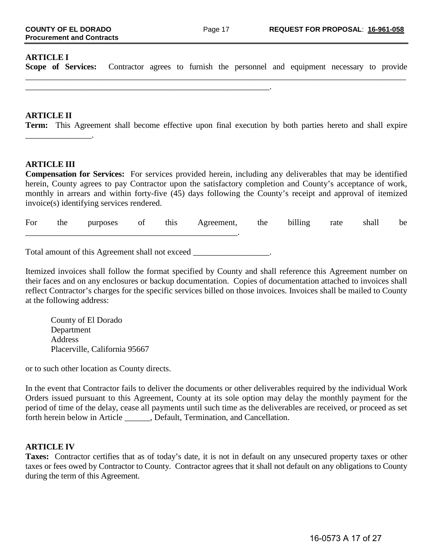#### **ARTICLE I**

**Scope of Services:** Contractor agrees to furnish the personnel and equipment necessary to provide  $\_$  ,  $\_$  ,  $\_$  ,  $\_$  ,  $\_$  ,  $\_$  ,  $\_$  ,  $\_$  ,  $\_$  ,  $\_$  ,  $\_$  ,  $\_$  ,  $\_$  ,  $\_$  ,  $\_$  ,  $\_$  ,  $\_$  ,  $\_$  ,  $\_$  ,  $\_$  ,  $\_$  ,  $\_$  ,  $\_$  ,  $\_$  ,  $\_$  ,  $\_$  ,  $\_$  ,  $\_$  ,  $\_$  ,  $\_$  ,  $\_$  ,  $\_$  ,  $\_$  ,  $\_$  ,  $\_$  ,  $\_$  ,  $\_$  ,

#### **ARTICLE II**

**Term:** This Agreement shall become effective upon final execution by both parties hereto and shall expire \_\_\_\_\_\_\_\_\_\_\_\_\_\_\_\_.

#### **ARTICLE III**

**Compensation for Services:** For services provided herein, including any deliverables that may be identified herein, County agrees to pay Contractor upon the satisfactory completion and County's acceptance of work, monthly in arrears and within forty-five (45) days following the County's receipt and approval of itemized invoice(s) identifying services rendered.

For the purposes of this Agreement, the billing rate shall be \_\_\_\_\_\_\_\_\_\_\_\_\_\_\_\_\_\_\_\_\_\_\_\_\_\_\_\_\_\_\_\_\_\_\_\_\_\_\_\_\_\_\_\_\_\_\_\_\_\_.

Total amount of this Agreement shall not exceed \_\_\_\_\_\_\_\_\_\_\_\_\_\_\_\_\_\_\_.

\_\_\_\_\_\_\_\_\_\_\_\_\_\_\_\_\_\_\_\_\_\_\_\_\_\_\_\_\_\_\_\_\_\_\_\_\_\_\_\_\_\_\_\_\_\_\_\_\_\_\_\_\_\_\_\_\_\_\_.

Itemized invoices shall follow the format specified by County and shall reference this Agreement number on their faces and on any enclosures or backup documentation. Copies of documentation attached to invoices shall reflect Contractor's charges for the specific services billed on those invoices. Invoices shall be mailed to County at the following address:

County of El Dorado Department Address Placerville, California 95667

or to such other location as County directs.

In the event that Contractor fails to deliver the documents or other deliverables required by the individual Work Orders issued pursuant to this Agreement, County at its sole option may delay the monthly payment for the period of time of the delay, cease all payments until such time as the deliverables are received, or proceed as set forth herein below in Article \_\_\_\_\_\_, Default, Termination, and Cancellation.

#### **ARTICLE IV**

**Taxes:** Contractor certifies that as of today's date, it is not in default on any unsecured property taxes or other taxes or fees owed by Contractor to County. Contractor agrees that it shall not default on any obligations to County during the term of this Agreement.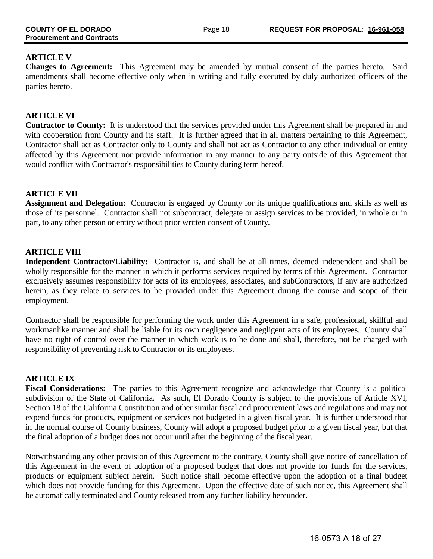### **ARTICLE V**

**Changes to Agreement:** This Agreement may be amended by mutual consent of the parties hereto. Said amendments shall become effective only when in writing and fully executed by duly authorized officers of the parties hereto.

### **ARTICLE VI**

**Contractor to County:** It is understood that the services provided under this Agreement shall be prepared in and with cooperation from County and its staff. It is further agreed that in all matters pertaining to this Agreement, Contractor shall act as Contractor only to County and shall not act as Contractor to any other individual or entity affected by this Agreement nor provide information in any manner to any party outside of this Agreement that would conflict with Contractor's responsibilities to County during term hereof.

#### **ARTICLE VII**

**Assignment and Delegation:** Contractor is engaged by County for its unique qualifications and skills as well as those of its personnel. Contractor shall not subcontract, delegate or assign services to be provided, in whole or in part, to any other person or entity without prior written consent of County.

#### **ARTICLE VIII**

**Independent Contractor/Liability:** Contractor is, and shall be at all times, deemed independent and shall be wholly responsible for the manner in which it performs services required by terms of this Agreement. Contractor exclusively assumes responsibility for acts of its employees, associates, and subContractors, if any are authorized herein, as they relate to services to be provided under this Agreement during the course and scope of their employment.

Contractor shall be responsible for performing the work under this Agreement in a safe, professional, skillful and workmanlike manner and shall be liable for its own negligence and negligent acts of its employees. County shall have no right of control over the manner in which work is to be done and shall, therefore, not be charged with responsibility of preventing risk to Contractor or its employees.

### **ARTICLE IX**

**Fiscal Considerations:** The parties to this Agreement recognize and acknowledge that County is a political subdivision of the State of California. As such, El Dorado County is subject to the provisions of Article XVI, Section 18 of the California Constitution and other similar fiscal and procurement laws and regulations and may not expend funds for products, equipment or services not budgeted in a given fiscal year. It is further understood that in the normal course of County business, County will adopt a proposed budget prior to a given fiscal year, but that the final adoption of a budget does not occur until after the beginning of the fiscal year.

Notwithstanding any other provision of this Agreement to the contrary, County shall give notice of cancellation of this Agreement in the event of adoption of a proposed budget that does not provide for funds for the services, products or equipment subject herein. Such notice shall become effective upon the adoption of a final budget which does not provide funding for this Agreement. Upon the effective date of such notice, this Agreement shall be automatically terminated and County released from any further liability hereunder.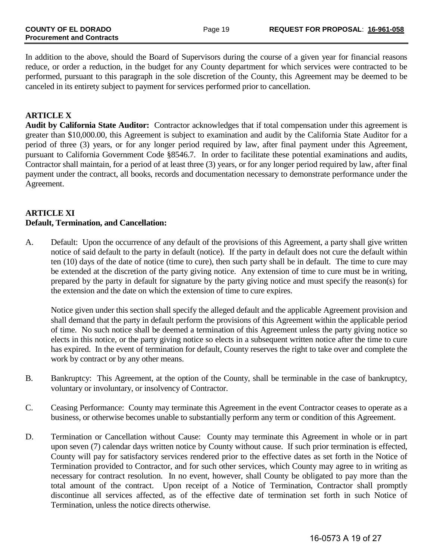In addition to the above, should the Board of Supervisors during the course of a given year for financial reasons reduce, or order a reduction, in the budget for any County department for which services were contracted to be performed, pursuant to this paragraph in the sole discretion of the County, this Agreement may be deemed to be canceled in its entirety subject to payment for services performed prior to cancellation.

### **ARTICLE X**

**Audit by California State Auditor:** Contractor acknowledges that if total compensation under this agreement is greater than \$10,000.00, this Agreement is subject to examination and audit by the California State Auditor for a period of three (3) years, or for any longer period required by law, after final payment under this Agreement, pursuant to California Government Code §8546.7. In order to facilitate these potential examinations and audits, Contractor shall maintain, for a period of at least three (3) years, or for any longer period required by law, after final payment under the contract, all books, records and documentation necessary to demonstrate performance under the Agreement.

#### **ARTICLE XI Default, Termination, and Cancellation:**

A. Default: Upon the occurrence of any default of the provisions of this Agreement, a party shall give written notice of said default to the party in default (notice). If the party in default does not cure the default within ten (10) days of the date of notice (time to cure), then such party shall be in default. The time to cure may be extended at the discretion of the party giving notice. Any extension of time to cure must be in writing, prepared by the party in default for signature by the party giving notice and must specify the reason(s) for the extension and the date on which the extension of time to cure expires.

Notice given under this section shall specify the alleged default and the applicable Agreement provision and shall demand that the party in default perform the provisions of this Agreement within the applicable period of time. No such notice shall be deemed a termination of this Agreement unless the party giving notice so elects in this notice, or the party giving notice so elects in a subsequent written notice after the time to cure has expired. In the event of termination for default, County reserves the right to take over and complete the work by contract or by any other means.

- B. Bankruptcy: This Agreement, at the option of the County, shall be terminable in the case of bankruptcy, voluntary or involuntary, or insolvency of Contractor.
- C. Ceasing Performance: County may terminate this Agreement in the event Contractor ceases to operate as a business, or otherwise becomes unable to substantially perform any term or condition of this Agreement.
- D. Termination or Cancellation without Cause: County may terminate this Agreement in whole or in part upon seven (7) calendar days written notice by County without cause. If such prior termination is effected, County will pay for satisfactory services rendered prior to the effective dates as set forth in the Notice of Termination provided to Contractor, and for such other services, which County may agree to in writing as necessary for contract resolution. In no event, however, shall County be obligated to pay more than the total amount of the contract. Upon receipt of a Notice of Termination, Contractor shall promptly discontinue all services affected, as of the effective date of termination set forth in such Notice of Termination, unless the notice directs otherwise.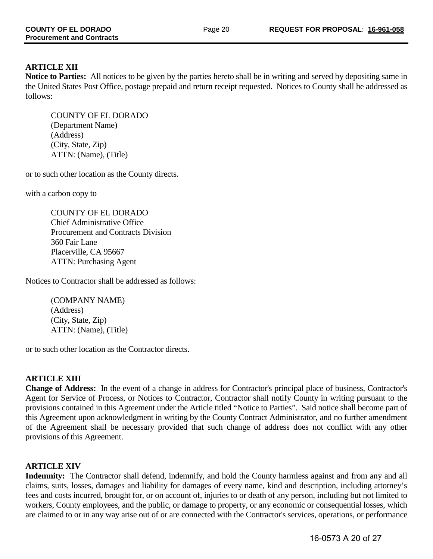# **ARTICLE XII**

**Notice to Parties:** All notices to be given by the parties hereto shall be in writing and served by depositing same in the United States Post Office, postage prepaid and return receipt requested. Notices to County shall be addressed as follows:

COUNTY OF EL DORADO (Department Name) (Address) (City, State, Zip) ATTN: (Name), (Title)

or to such other location as the County directs.

with a carbon copy to

COUNTY OF EL DORADO Chief Administrative Office Procurement and Contracts Division 360 Fair Lane Placerville, CA 95667 ATTN: Purchasing Agent

Notices to Contractor shall be addressed as follows:

(COMPANY NAME) (Address) (City, State, Zip) ATTN: (Name), (Title)

or to such other location as the Contractor directs.

# **ARTICLE XIII**

**Change of Address:** In the event of a change in address for Contractor's principal place of business, Contractor's Agent for Service of Process, or Notices to Contractor, Contractor shall notify County in writing pursuant to the provisions contained in this Agreement under the Article titled "Notice to Parties". Said notice shall become part of this Agreement upon acknowledgment in writing by the County Contract Administrator, and no further amendment of the Agreement shall be necessary provided that such change of address does not conflict with any other provisions of this Agreement.

# **ARTICLE XIV**

**Indemnity:** The Contractor shall defend, indemnify, and hold the County harmless against and from any and all claims, suits, losses, damages and liability for damages of every name, kind and description, including attorney's fees and costs incurred, brought for, or on account of, injuries to or death of any person, including but not limited to workers, County employees, and the public, or damage to property, or any economic or consequential losses, which are claimed to or in any way arise out of or are connected with the Contractor's services, operations, or performance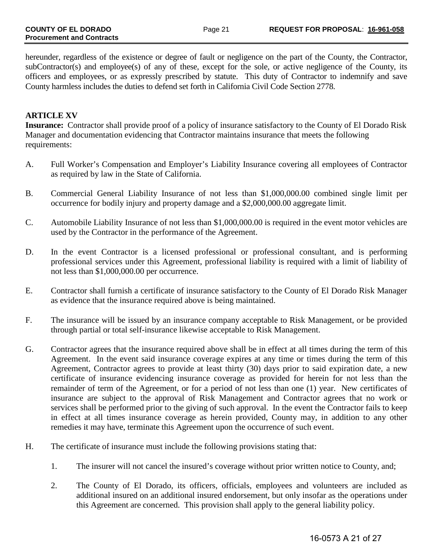hereunder, regardless of the existence or degree of fault or negligence on the part of the County, the Contractor, subContractor(s) and employee(s) of any of these, except for the sole, or active negligence of the County, its officers and employees, or as expressly prescribed by statute. This duty of Contractor to indemnify and save County harmless includes the duties to defend set forth in California Civil Code Section 2778.

### **ARTICLE XV**

**Insurance:** Contractor shall provide proof of a policy of insurance satisfactory to the County of El Dorado Risk Manager and documentation evidencing that Contractor maintains insurance that meets the following requirements:

- A. Full Worker's Compensation and Employer's Liability Insurance covering all employees of Contractor as required by law in the State of California.
- B. Commercial General Liability Insurance of not less than \$1,000,000.00 combined single limit per occurrence for bodily injury and property damage and a \$2,000,000.00 aggregate limit.
- C. Automobile Liability Insurance of not less than \$1,000,000.00 is required in the event motor vehicles are used by the Contractor in the performance of the Agreement.
- D. In the event Contractor is a licensed professional or professional consultant, and is performing professional services under this Agreement, professional liability is required with a limit of liability of not less than \$1,000,000.00 per occurrence.
- E. Contractor shall furnish a certificate of insurance satisfactory to the County of El Dorado Risk Manager as evidence that the insurance required above is being maintained.
- F. The insurance will be issued by an insurance company acceptable to Risk Management, or be provided through partial or total self-insurance likewise acceptable to Risk Management.
- G. Contractor agrees that the insurance required above shall be in effect at all times during the term of this Agreement. In the event said insurance coverage expires at any time or times during the term of this Agreement, Contractor agrees to provide at least thirty (30) days prior to said expiration date, a new certificate of insurance evidencing insurance coverage as provided for herein for not less than the remainder of term of the Agreement, or for a period of not less than one (1) year. New certificates of insurance are subject to the approval of Risk Management and Contractor agrees that no work or services shall be performed prior to the giving of such approval. In the event the Contractor fails to keep in effect at all times insurance coverage as herein provided, County may, in addition to any other remedies it may have, terminate this Agreement upon the occurrence of such event.
- H. The certificate of insurance must include the following provisions stating that:
	- 1. The insurer will not cancel the insured's coverage without prior written notice to County, and;
	- 2. The County of El Dorado, its officers, officials, employees and volunteers are included as additional insured on an additional insured endorsement, but only insofar as the operations under this Agreement are concerned. This provision shall apply to the general liability policy.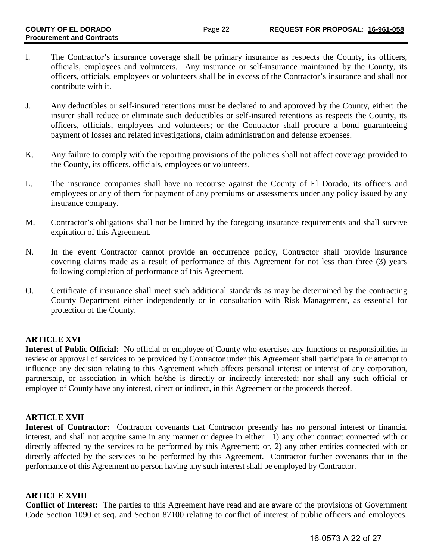- I. The Contractor's insurance coverage shall be primary insurance as respects the County, its officers, officials, employees and volunteers. Any insurance or self-insurance maintained by the County, its officers, officials, employees or volunteers shall be in excess of the Contractor's insurance and shall not contribute with it.
- J. Any deductibles or self-insured retentions must be declared to and approved by the County, either: the insurer shall reduce or eliminate such deductibles or self-insured retentions as respects the County, its officers, officials, employees and volunteers; or the Contractor shall procure a bond guaranteeing payment of losses and related investigations, claim administration and defense expenses.
- K. Any failure to comply with the reporting provisions of the policies shall not affect coverage provided to the County, its officers, officials, employees or volunteers.
- L. The insurance companies shall have no recourse against the County of El Dorado, its officers and employees or any of them for payment of any premiums or assessments under any policy issued by any insurance company.
- M. Contractor's obligations shall not be limited by the foregoing insurance requirements and shall survive expiration of this Agreement.
- N. In the event Contractor cannot provide an occurrence policy, Contractor shall provide insurance covering claims made as a result of performance of this Agreement for not less than three (3) years following completion of performance of this Agreement.
- O. Certificate of insurance shall meet such additional standards as may be determined by the contracting County Department either independently or in consultation with Risk Management, as essential for protection of the County.

# **ARTICLE XVI**

**Interest of Public Official:** No official or employee of County who exercises any functions or responsibilities in review or approval of services to be provided by Contractor under this Agreement shall participate in or attempt to influence any decision relating to this Agreement which affects personal interest or interest of any corporation, partnership, or association in which he/she is directly or indirectly interested; nor shall any such official or employee of County have any interest, direct or indirect, in this Agreement or the proceeds thereof.

# **ARTICLE XVII**

**Interest of Contractor:** Contractor covenants that Contractor presently has no personal interest or financial interest, and shall not acquire same in any manner or degree in either: 1) any other contract connected with or directly affected by the services to be performed by this Agreement; or, 2) any other entities connected with or directly affected by the services to be performed by this Agreement. Contractor further covenants that in the performance of this Agreement no person having any such interest shall be employed by Contractor.

# **ARTICLE XVIII**

**Conflict of Interest:** The parties to this Agreement have read and are aware of the provisions of Government Code Section 1090 et seq. and Section 87100 relating to conflict of interest of public officers and employees.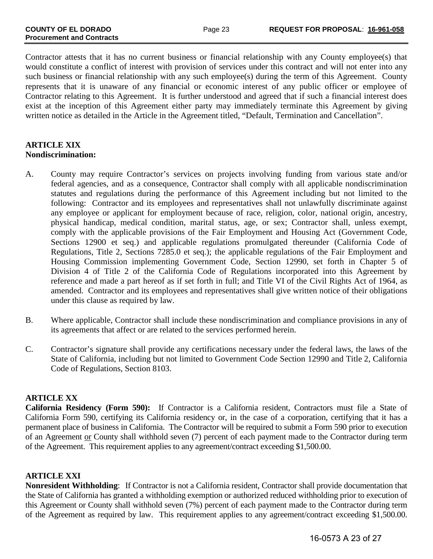Contractor attests that it has no current business or financial relationship with any County employee(s) that would constitute a conflict of interest with provision of services under this contract and will not enter into any such business or financial relationship with any such employee(s) during the term of this Agreement. County represents that it is unaware of any financial or economic interest of any public officer or employee of Contractor relating to this Agreement. It is further understood and agreed that if such a financial interest does exist at the inception of this Agreement either party may immediately terminate this Agreement by giving written notice as detailed in the Article in the Agreement titled, "Default, Termination and Cancellation".

### **ARTICLE XIX Nondiscrimination:**

- A. County may require Contractor's services on projects involving funding from various state and/or federal agencies, and as a consequence, Contractor shall comply with all applicable nondiscrimination statutes and regulations during the performance of this Agreement including but not limited to the following: Contractor and its employees and representatives shall not unlawfully discriminate against any employee or applicant for employment because of race, religion, color, national origin, ancestry, physical handicap, medical condition, marital status, age, or sex; Contractor shall, unless exempt, comply with the applicable provisions of the Fair Employment and Housing Act (Government Code, Sections 12900 et seq.) and applicable regulations promulgated thereunder (California Code of Regulations, Title 2, Sections 7285.0 et seq.); the applicable regulations of the Fair Employment and Housing Commission implementing Government Code, Section 12990, set forth in Chapter 5 of Division 4 of Title 2 of the California Code of Regulations incorporated into this Agreement by reference and made a part hereof as if set forth in full; and Title VI of the Civil Rights Act of 1964, as amended. Contractor and its employees and representatives shall give written notice of their obligations under this clause as required by law.
- B. Where applicable, Contractor shall include these nondiscrimination and compliance provisions in any of its agreements that affect or are related to the services performed herein.
- C. Contractor's signature shall provide any certifications necessary under the federal laws, the laws of the State of California, including but not limited to Government Code Section 12990 and Title 2, California Code of Regulations, Section 8103.

# **ARTICLE XX**

**California Residency (Form 590):** If Contractor is a California resident, Contractors must file a State of California Form 590, certifying its California residency or, in the case of a corporation, certifying that it has a permanent place of business in California. The Contractor will be required to submit a Form 590 prior to execution of an Agreement or County shall withhold seven (7) percent of each payment made to the Contractor during term of the Agreement. This requirement applies to any agreement/contract exceeding \$1,500.00.

# **ARTICLE XXI**

**Nonresident Withholding**: If Contractor is not a California resident, Contractor shall provide documentation that the State of California has granted a withholding exemption or authorized reduced withholding prior to execution of this Agreement or County shall withhold seven (7%) percent of each payment made to the Contractor during term of the Agreement as required by law. This requirement applies to any agreement/contract exceeding \$1,500.00.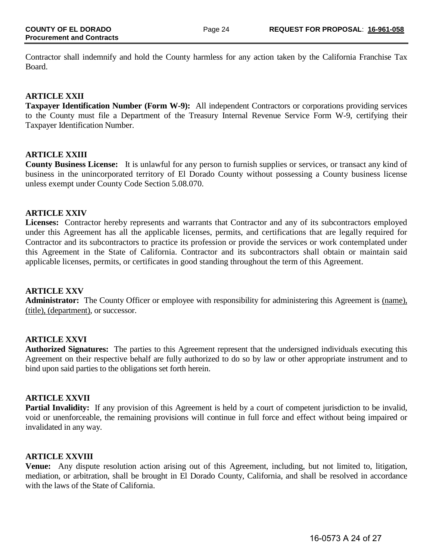Contractor shall indemnify and hold the County harmless for any action taken by the California Franchise Tax Board.

### **ARTICLE XXII**

**Taxpayer Identification Number (Form W-9):** All independent Contractors or corporations providing services to the County must file a Department of the Treasury Internal Revenue Service Form W-9, certifying their Taxpayer Identification Number.

### **ARTICLE XXIII**

**County Business License:** It is unlawful for any person to furnish supplies or services, or transact any kind of business in the unincorporated territory of El Dorado County without possessing a County business license unless exempt under County Code Section 5.08.070.

### **ARTICLE XXIV**

**Licenses:** Contractor hereby represents and warrants that Contractor and any of its subcontractors employed under this Agreement has all the applicable licenses, permits, and certifications that are legally required for Contractor and its subcontractors to practice its profession or provide the services or work contemplated under this Agreement in the State of California. Contractor and its subcontractors shall obtain or maintain said applicable licenses, permits, or certificates in good standing throughout the term of this Agreement.

# **ARTICLE XXV**

**Administrator:** The County Officer or employee with responsibility for administering this Agreement is (name), (title), (department), or successor.

# **ARTICLE XXVI**

**Authorized Signatures:** The parties to this Agreement represent that the undersigned individuals executing this Agreement on their respective behalf are fully authorized to do so by law or other appropriate instrument and to bind upon said parties to the obligations set forth herein.

### **ARTICLE XXVII**

**Partial Invalidity:** If any provision of this Agreement is held by a court of competent jurisdiction to be invalid, void or unenforceable, the remaining provisions will continue in full force and effect without being impaired or invalidated in any way.

### **ARTICLE XXVIII**

**Venue:** Any dispute resolution action arising out of this Agreement, including, but not limited to, litigation, mediation, or arbitration, shall be brought in El Dorado County, California, and shall be resolved in accordance with the laws of the State of California.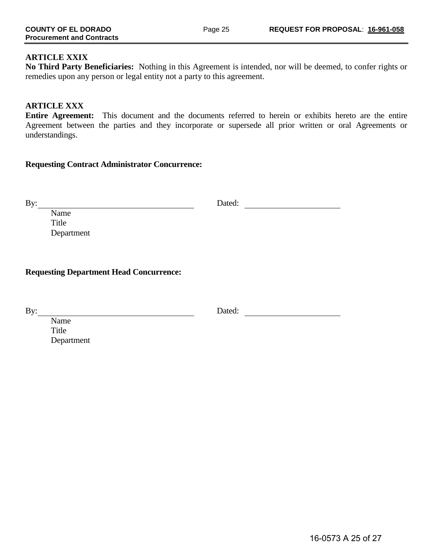**No Third Party Beneficiaries:** Nothing in this Agreement is intended, nor will be deemed, to confer rights or remedies upon any person or legal entity not a party to this agreement.

### **ARTICLE XXX**

**Entire Agreement:** This document and the documents referred to herein or exhibits hereto are the entire Agreement between the parties and they incorporate or supersede all prior written or oral Agreements or understandings.

### **Requesting Contract Administrator Concurrence:**

By: Dated: Dated: Dated: 2008.

Name Title Department

**Requesting Department Head Concurrence:**

By: Dated: Dated: Dated: 2008. Dated: 2008. Dated: 2008. Dated: 2008. Dated: 2008. Dated: 2008. Dated: 2008. Dated: 2008. Dated: 2008. 2008. Dated: 2008. Dated: 2008. Dated: 2008. Dated: 2008. Dated: 2008. Dated: 2008. Dat

Name Title Department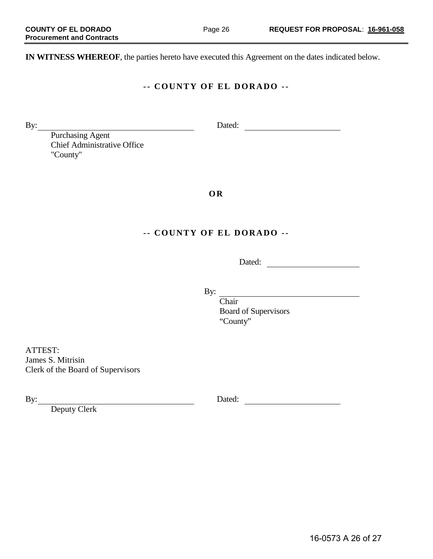**IN WITNESS WHEREOF**, the parties hereto have executed this Agreement on the dates indicated below.

### **- - COUNTY OF EL DORADO - -**

By: Dated: Dated: Dated: Dated: 2007

Purchasing Agent Chief Administrative Office "County"

**O R**

# **- - COUNTY OF EL DORADO - -**

Dated:

By:

Chair Chair Board of Supervisors "County"

ATTEST: James S. Mitrisin Clerk of the Board of Supervisors

Deputy Clerk

By: Dated:

16-0573 A 26 of 27